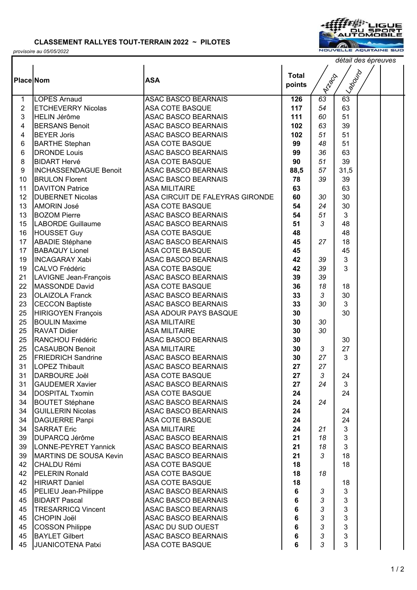## **CLASSEMENT RALLYES TOUT-TERRAIN 2022 ~ PILOTES**



ı



*détail des épreuves*

| <b>Place Nom</b> |                              | <b>ASA</b>                      | <b>Total</b><br>points | <b>Prillips</b> | ILagouro        |  |
|------------------|------------------------------|---------------------------------|------------------------|-----------------|-----------------|--|
| 1                | <b>LOPES Arnaud</b>          | <b>ASAC BASCO BEARNAIS</b>      | 126                    | 63              | $\overline{63}$ |  |
| $\overline{2}$   | <b>ETCHEVERRY Nicolas</b>    | <b>ASA COTE BASQUE</b>          | 117                    | 54              | 63              |  |
| 3                | <b>HELIN Jérôme</b>          | ASAC BASCO BEARNAIS             | 111                    | 60              | 51              |  |
| 4                | <b>BERSANS Benoit</b>        | <b>ASAC BASCO BEARNAIS</b>      | 102                    | 63              | 39              |  |
| 4                | <b>BEYER Joris</b>           | <b>ASAC BASCO BEARNAIS</b>      | 102                    | 51              | 51              |  |
| 6                | <b>BARTHE Stephan</b>        | <b>ASA COTE BASQUE</b>          | 99                     | 48              | 51              |  |
| $\,6$            | <b>DRONDE Louis</b>          | <b>ASAC BASCO BEARNAIS</b>      | 99                     | 36              | 63              |  |
| 8                | <b>BIDART Hervé</b>          | <b>ASA COTE BASQUE</b>          | 90                     | 51              | 39              |  |
| 9                | <b>INCHASSENDAGUE Benoit</b> | ASAC BASCO BEARNAIS             | 88,5                   | 57              | 31,5            |  |
| 10               | <b>BRULON Florent</b>        | <b>ASAC BASCO BEARNAIS</b>      | 78                     | 39              | 39              |  |
| 11               | <b>DAVITON Patrice</b>       | <b>ASA MILITAIRE</b>            | 63                     |                 | 63              |  |
| 12               | DUBERNET Nicolas             | ASA CIRCUIT DE FALEYRAS GIRONDE | 60                     | 30              | 30              |  |
| 13               | <b>AMORIN José</b>           | <b>ASA COTE BASQUE</b>          | 54                     | 24              | 30              |  |
| 13               | <b>BOZOM Pierre</b>          | ASAC BASCO BEARNAIS             | 54                     | 51              | 3               |  |
| 15               | LABORDE Guillaume            | <b>ASAC BASCO BEARNAIS</b>      | 51                     | 3               | 48              |  |
| 16               | <b>HOUSSET Guy</b>           | <b>ASA COTE BASQUE</b>          | 48                     |                 | 48              |  |
| 17               | <b>ABADIE Stéphane</b>       | <b>ASAC BASCO BEARNAIS</b>      | 45                     | 27              | 18              |  |
| 17               | <b>BABAQUY Lionel</b>        | <b>ASA COTE BASQUE</b>          | 45                     |                 | 45              |  |
| 19               | <b>INCAGARAY Xabi</b>        | <b>ASAC BASCO BEARNAIS</b>      | 42                     | 39              | 3               |  |
| 19               | <b>CALVO Frédéric</b>        | <b>ASA COTE BASQUE</b>          | 42                     | 39              | 3               |  |
| 21               | LAVIGNE Jean-François        | ASAC BASCO BEARNAIS             | 39                     | 39              |                 |  |
| 22               | <b>MASSONDE David</b>        | <b>ASA COTE BASQUE</b>          | 36                     | 18              | 18              |  |
| 23               | <b>OLAIZOLA Franck</b>       | ASAC BASCO BEARNAIS             | 33                     | 3               | 30              |  |
| 23               | <b>CECCON Baptiste</b>       | <b>ASAC BASCO BEARNAIS</b>      | 33                     | 30              | 3               |  |
| 25               | HIRIGOYEN François           | ASA ADOUR PAYS BASQUE           | 30                     |                 | 30              |  |
| 25               | <b>BOULIN Maxime</b>         | <b>ASA MILITAIRE</b>            | 30                     | 30              |                 |  |
| 25               | <b>RAVAT Didier</b>          | <b>ASA MILITAIRE</b>            | 30                     | 30              |                 |  |
| 25               | RANCHOU Frédéric             | ASAC BASCO BEARNAIS             | 30                     |                 | 30              |  |
| 25               | <b>CASAUBON Benoit</b>       | <b>ASA MILITAIRE</b>            | 30                     | 3               | 27              |  |
| 25               | <b>FRIEDRICH Sandrine</b>    | ASAC BASCO BEARNAIS             | 30                     | 27              | 3               |  |
| 31               | <b>LOPEZ Thibault</b>        | <b>ASAC BASCO BEARNAIS</b>      | 27                     | 27              |                 |  |
| 31               | <b>DARBOURE Joël</b>         | <b>ASA COTE BASQUE</b>          | 27                     | 3               | 24              |  |
| 31               | <b>GAUDEMER Xavier</b>       | <b>ASAC BASCO BEARNAIS</b>      | 27                     | 24              | 3               |  |
| 34               | <b>DOSPITAL Txomin</b>       | <b>ASA COTE BASQUE</b>          | 24                     |                 | 24              |  |
| 34               | <b>BOUTET Stéphane</b>       | <b>ASAC BASCO BEARNAIS</b>      | 24                     | 24              |                 |  |
| 34               | <b>GUILLERIN Nicolas</b>     | <b>ASAC BASCO BEARNAIS</b>      | 24                     |                 | 24              |  |
| 34               | DAGUERRE Panpi               | <b>ASA COTE BASQUE</b>          | 24                     |                 | 24              |  |
| 34               | <b>SARRAT Eric</b>           | <b>ASA MILITAIRE</b>            | 24                     | 21              | 3               |  |
| 39               | <b>DUPARCQ Jérôme</b>        | <b>ASAC BASCO BEARNAIS</b>      | 21                     | 18              | 3               |  |
| 39               | LONNE-PEYRET Yannick         | <b>ASAC BASCO BEARNAIS</b>      | 21                     | 18              | 3               |  |
| 39               | MARTINS DE SOUSA Kevin       | <b>ASAC BASCO BEARNAIS</b>      | 21                     | 3               | 18              |  |
| 42               | CHALDU Rémi                  | ASA COTE BASQUE                 | 18                     |                 | 18              |  |
| 42               | <b>PELERIN Ronald</b>        | <b>ASA COTE BASQUE</b>          | 18                     | 18              |                 |  |
| 42               | <b>HIRIART Daniel</b>        | <b>ASA COTE BASQUE</b>          | 18                     |                 | 18              |  |
| 45               | PELIEU Jean-Philippe         | <b>ASAC BASCO BEARNAIS</b>      | 6                      | 3               | 3               |  |
| 45               | <b>BIDART Pascal</b>         | <b>ASAC BASCO BEARNAIS</b>      | 6                      | 3               | 3               |  |
| 45               | <b>TRESARRICQ Vincent</b>    | <b>ASAC BASCO BEARNAIS</b>      | 6                      | 3               | 3               |  |
| 45               | <b>CHOPIN Joël</b>           | <b>ASAC BASCO BEARNAIS</b>      | $\bf 6$                | 3               | 3               |  |
| 45               | <b>COSSON Philippe</b>       | <b>ASAC DU SUD OUEST</b>        | $\bf 6$                | 3               | 3               |  |
| 45               | <b>BAYLET Gilbert</b>        | <b>ASAC BASCO BEARNAIS</b>      | 6                      | 3               | 3               |  |
| 45               | JUANICOTENA Patxi            | <b>ASA COTE BASQUE</b>          | 6                      | 3               | 3               |  |